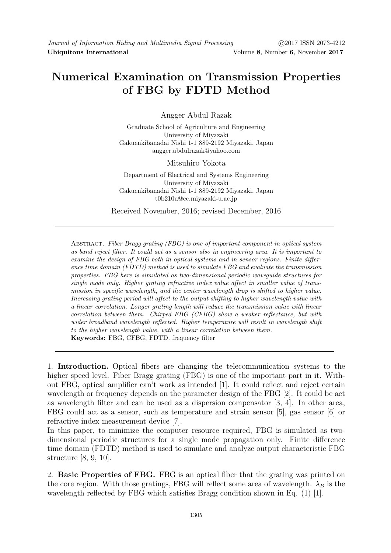## Numerical Examination on Transmission Properties of FBG by FDTD Method

Angger Abdul Razak

Graduate School of Agriculture and Engineering University of Miyazaki Gakuenkibanadai Nishi 1-1 889-2192 Miyazaki, Japan angger.abdulrazak@yahoo.com

Mitsuhiro Yokota

Department of Electrical and Systems Engineering University of Miyazaki Gakuenkibanadai Nishi 1-1 889-2192 Miyazaki, Japan t0b210u@cc.miyazaki-u.ac.jp

Received November, 2016; revised December, 2016

Abstract. Fiber Bragg grating (FBG) is one of important component in optical system as band reject filter. It could act as a sensor also in engineering area. It is important to examine the design of FBG both in optical systems and in sensor regions. Finite difference time domain (FDTD) method is used to simulate FBG and evaluate the transmission properties. FBG here is simulated as two-dimensional periodic waveguide structures for single mode only. Higher grating refractive index value affect in smaller value of transmission in specific wavelength, and the center wavelength drop is shifted to higher value. Increasing grating period will affect to the output shifting to higher wavelength value with a linear correlation. Longer grating length will reduce the transmission value with linear correlation between them. Chirped FBG (CFBG) show a weaker reflectance, but with wider broadband wavelength reflected. Higher temperature will result in wavelength shift to the higher wavelength value, with a linear correlation between them. Keywords: FBG, CFBG, FDTD. frequency filter

1. Introduction. Optical fibers are changing the telecommunication systems to the higher speed level. Fiber Bragg grating (FBG) is one of the important part in it. Without FBG, optical amplifier can't work as intended [1]. It could reflect and reject certain wavelength or frequency depends on the parameter design of the FBG [2]. It could be act as wavelength filter and can be used as a dispersion compensator [3, 4]. In other area, FBG could act as a sensor, such as temperature and strain sensor [5], gas sensor [6] or refractive index measurement device [7].

In this paper, to minimize the computer resource required, FBG is simulated as twodimensional periodic structures for a single mode propagation only. Finite difference time domain (FDTD) method is used to simulate and analyze output characteristic FBG structure [8, 9, 10].

2. Basic Properties of FBG. FBG is an optical fiber that the grating was printed on the core region. With those gratings, FBG will reflect some area of wavelength.  $\lambda_B$  is the wavelength reflected by FBG which satisfies Bragg condition shown in Eq. (1) [1].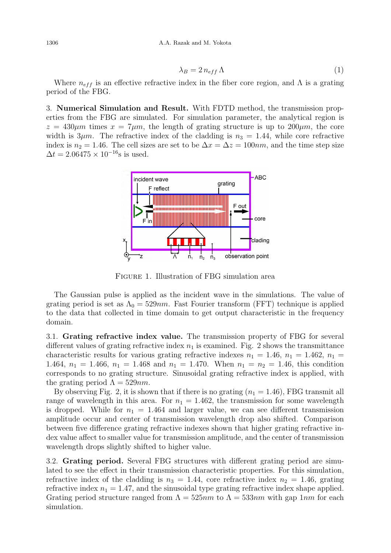$$
\lambda_B = 2 n_{eff} \Lambda \tag{1}
$$

Where  $n_{eff}$  is an effective refractive index in the fiber core region, and  $\Lambda$  is a grating period of the FBG.

3. Numerical Simulation and Result. With FDTD method, the transmission properties from the FBG are simulated. For simulation parameter, the analytical region is  $z = 430 \mu m$  times  $x = 7 \mu m$ , the length of grating structure is up to  $200 \mu m$ , the core width is  $3\mu m$ . The refractive index of the cladding is  $n_3 = 1.44$ , while core refractive index is  $n_2 = 1.46$ . The cell sizes are set to be  $\Delta x = \Delta z = 100nm$ , and the time step size  $\Delta t = 2.06475 \times 10^{-16}$ s is used.



Figure 1. Illustration of FBG simulation area

The Gaussian pulse is applied as the incident wave in the simulations. The value of grating period is set as  $\Lambda_0 = 529nm$ . Fast Fourier transform (FFT) technique is applied to the data that collected in time domain to get output characteristic in the frequency domain.

3.1. Grating refractive index value. The transmission property of FBG for several different values of grating refractive index  $n_1$  is examined. Fig. 2 shows the transmittance characteristic results for various grating refractive indexes  $n_1 = 1.46$ ,  $n_1 = 1.462$ ,  $n_1 =$ 1.464,  $n_1 = 1.466$ ,  $n_1 = 1.468$  and  $n_1 = 1.470$ . When  $n_1 = n_2 = 1.46$ , this condition corresponds to no grating structure. Sinusoidal grating refractive index is applied, with the grating period  $\Lambda = 529nm$ .

By observing Fig. 2, it is shown that if there is no grating  $(n_1 = 1.46)$ , FBG transmit all range of wavelength in this area. For  $n_1 = 1.462$ , the transmission for some wavelength is dropped. While for  $n_1 = 1.464$  and larger value, we can see different transmission amplitude occur and center of transmission wavelength drop also shifted. Comparison between five difference grating refractive indexes shown that higher grating refractive index value affect to smaller value for transmission amplitude, and the center of transmission wavelength drops slightly shifted to higher value.

3.2. Grating period. Several FBG structures with different grating period are simulated to see the effect in their transmission characteristic properties. For this simulation, refractive index of the cladding is  $n_3 = 1.44$ , core refractive index  $n_2 = 1.46$ , grating refractive index  $n_1 = 1.47$ , and the sinusoidal type grating refractive index shape applied. Grating period structure ranged from  $\Lambda = 525nm$  to  $\Lambda = 533nm$  with gap  $1nm$  for each simulation.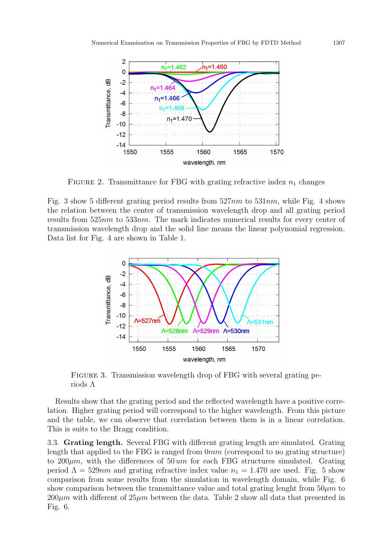

FIGURE 2. Transmittance for FBG with grating refractive index  $n_1$  changes

Fig. 3 show 5 different grating period results from  $527nm$  to  $531nm$ , while Fig. 4 shows the relation between the center of transmission wavelength drop and all grating period results from 525nm to 533nm. The mark indicates numerical results for every center of transmission wavelength drop and the solid line means the linear polynomial regression. Data list for Fig. 4 are shown in Table 1.



FIGURE 3. Transmission wavelength drop of FBG with several grating periods Λ

Results show that the grating period and the reflected wavelength have a positive correlation. Higher grating period will correspond to the higher wavelength. From this picture and the table, we can observe that correlation between them is in a linear correlation. This is suits to the Bragg condition.

3.3. Grating length. Several FBG with different grating length are simulated. Grating length that applied to the FBG is ranged from 0mm (correspond to no grating structure) to 200 $\mu$ m, with the differences of 50 um for each FBG structures simulated. Grating period  $\Lambda = 529nm$  and grating refractive index value  $n_1 = 1.470$  are used. Fig. 5 show comparison from some results from the simulation in wavelength domain, while Fig. 6 show comparison between the transmittance value and total grating lenght from  $50\mu m$  to  $200\mu m$  with different of  $25\mu m$  between the data. Table 2 show all data that presented in Fig. 6.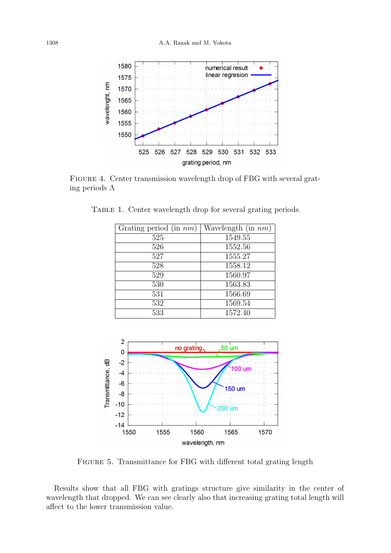

FIGURE 4. Center transmission wavelength drop of FBG with several grating periods  $\Lambda$ 

| Grating period (in $nm$ ) | Wavelength (in $nm$ ) |
|---------------------------|-----------------------|
| 525                       | 1549.55               |
| 526                       | 1552.56               |
| 527                       | 1555.27               |
| 528                       | 1558.12               |
| 529                       | 1560.97               |
| 530                       | 1563.83               |
| 531                       | 1566.69               |
| 532                       | 1569.54               |
| 533                       | 1572.40               |

Table 1. Center wavelength drop for several grating periods



FIGURE 5. Transmittance for FBG with different total grating length

Results show that all FBG with gratings structure give similarity in the center of wavelength that dropped. We can see clearly also that increasing grating total length will affect to the lower transmission value.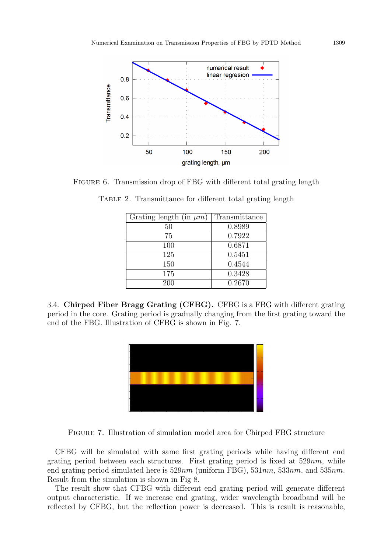

FIGURE 6. Transmission drop of FBG with different total grating length

| Grating length (in $\mu$ m) | Transmittance |
|-----------------------------|---------------|
| 50                          | 0.8989        |
| 75                          | 0.7922        |
| 100                         | 0.6871        |
| 125                         | 0.5451        |
| 150                         | 0.4544        |
| 175                         | 0.3428        |
| 200                         | 0.2670        |

TABLE 2. Transmittance for different total grating length

3.4. Chirped Fiber Bragg Grating (CFBG). CFBG is a FBG with different grating period in the core. Grating period is gradually changing from the first grating toward the end of the FBG. Illustration of CFBG is shown in Fig. 7.



Figure 7. Illustration of simulation model area for Chirped FBG structure

CFBG will be simulated with same first grating periods while having different end grating period between each structures. First grating period is fixed at  $529nm$ , while end grating period simulated here is  $529nm$  (uniform FBG),  $531nm$ ,  $533nm$ , and  $535nm$ . Result from the simulation is shown in Fig 8.

The result show that CFBG with different end grating period will generate different output characteristic. If we increase end grating, wider wavelength broadband will be reflected by CFBG, but the reflection power is decreased. This is result is reasonable,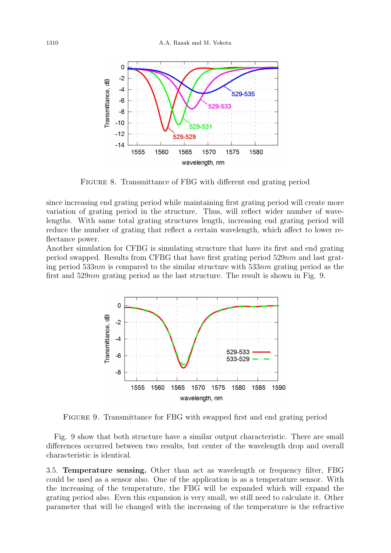

Figure 8. Transmittance of FBG with different end grating period

since increasing end grating period while maintaining first grating period will create more variation of grating period in the structure. Thus, will reflect wider number of wavelengths. With same total grating structures length, increasing end grating period will reduce the number of grating that reflect a certain wavelength, which affect to lower reflectance power.

Another simulation for CFBG is simulating structure that have its first and end grating period swapped. Results from CFBG that have first grating period  $529nm$  and last grating period 533 $nm$  is compared to the similar structure with 533 $nm$  grating period as the first and 529nm grating period as the last structure. The result is shown in Fig. 9.



Figure 9. Transmittance for FBG with swapped first and end grating period

Fig. 9 show that both structure have a similar output characteristic. There are small differences occurred between two results, but center of the wavelength drop and overall characteristic is identical.

3.5. Temperature sensing. Other than act as wavelength or frequency filter, FBG could be used as a sensor also. One of the application is as a temperature sensor. With the increasing of the temperature, the FBG will be expanded which will expand the grating period also. Even this expansion is very small, we still need to calculate it. Other parameter that will be changed with the increasing of the temperature is the refractive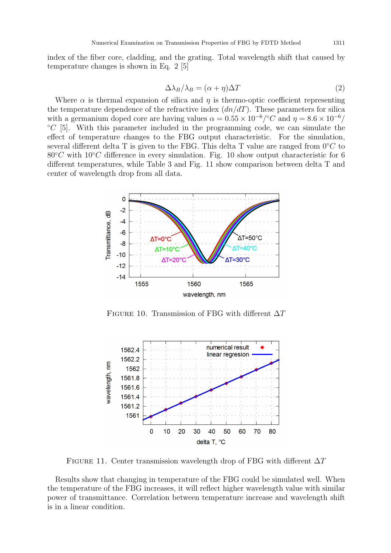index of the fiber core, cladding, and the grating. Total wavelength shift that caused by temperature changes is shown in Eq. 2 [5]

$$
\Delta \lambda_B / \lambda_B = (\alpha + \eta) \Delta T \tag{2}
$$

Where  $\alpha$  is thermal expansion of silica and  $\eta$  is thermo-optic coefficient representing the temperature dependence of the refractive index  $(dn/dT)$ . These parameters for silica with a germanium doped core are having values  $\alpha = 0.55 \times 10^{-6}/^{\circ}C$  and  $\eta = 8.6 \times 10^{-6}/$  $°C$  [5]. With this parameter included in the programming code, we can simulate the effect of temperature changes to the FBG output characteristic. For the simulation, several different delta T is given to the FBG. This delta T value are ranged from  $0°C$  to  $80°C$  with  $10°C$  difference in every simulation. Fig. 10 show output characteristic for 6 different temperatures, while Table 3 and Fig. 11 show comparison between delta T and center of wavelength drop from all data.



FIGURE 10. Transmission of FBG with different  $\Delta T$ 



FIGURE 11. Center transmission wavelength drop of FBG with different  $\Delta T$ 

Results show that changing in temperature of the FBG could be simulated well. When the temperature of the FBG increases, it will reflect higher wavelength value with similar power of transmittance. Correlation between temperature increase and wavelength shift is in a linear condition.